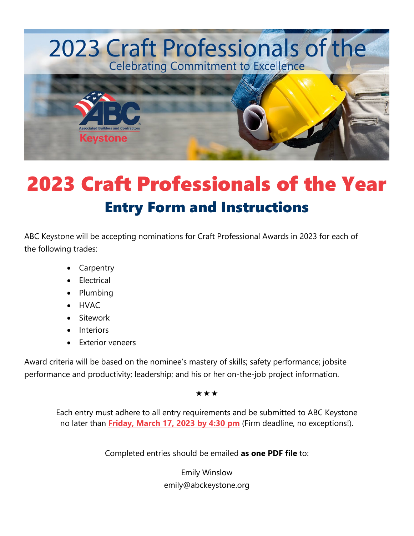# 2023 Craft Professionals of the **Celebrating Commitment to Excellence**



# 2023 Craft Professionals of the Year Entry Form and Instructions

ABC Keystone will be accepting nominations for Craft Professional Awards in 2023 for each of the following trades:

- **Carpentry**
- **Electrical**
- Plumbing
- HVAC
- **Sitework**
- **Interiors**
- Exterior veneers

Award criteria will be based on the nominee's mastery of skills; safety performance; jobsite performance and productivity; leadership; and his or her on-the-job project information.

 $\star\star\star$ 

Each entry must adhere to all entry requirements and be submitted to ABC Keystone no later than **Friday, March 17, 2023 by 4:30 pm** (Firm deadline, no exceptions!).

Completed entries should be emailed **as one PDF file** to:

Emily Winslow emily@abckeystone.org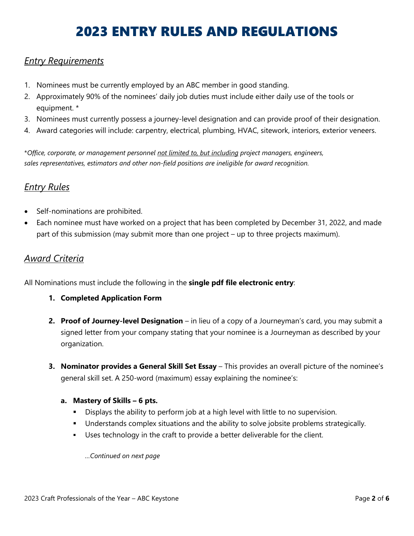# 2023 ENTRY RULES AND REGULATIONS

#### *Entry Requirements*

- 1. Nominees must be currently employed by an ABC member in good standing.
- 2. Approximately 90% of the nominees' daily job duties must include either daily use of the tools or equipment. \*
- 3. Nominees must currently possess a journey-level designation and can provide proof of their designation.
- 4. Award categories will include: carpentry, electrical, plumbing, HVAC, sitework, interiors, exterior veneers.

\**Office, corporate, or management personnel not limited to, but including project managers, engineers, sales representatives, estimators and other non-field positions are ineligible for award recognition.*

## *Entry Rules*

- Self-nominations are prohibited.
- Each nominee must have worked on a project that has been completed by December 31, 2022, and made part of this submission (may submit more than one project – up to three projects maximum).

### *Award Criteria*

All Nominations must include the following in the **single pdf file electronic entry**:

- **1. Completed Application Form**
- **2. Proof of Journey-level Designation** in lieu of a copy of a Journeyman's card, you may submit a signed letter from your company stating that your nominee is a Journeyman as described by your organization.
- **3. Nominator provides a General Skill Set Essay** This provides an overall picture of the nominee's general skill set. A 250-word (maximum) essay explaining the nominee's:

#### **a. Mastery of Skills – 6 pts.**

- Displays the ability to perform job at a high level with little to no supervision.
- **Understands complex situations and the ability to solve jobsite problems strategically.**
- Uses technology in the craft to provide a better deliverable for the client.

*…Continued on next page*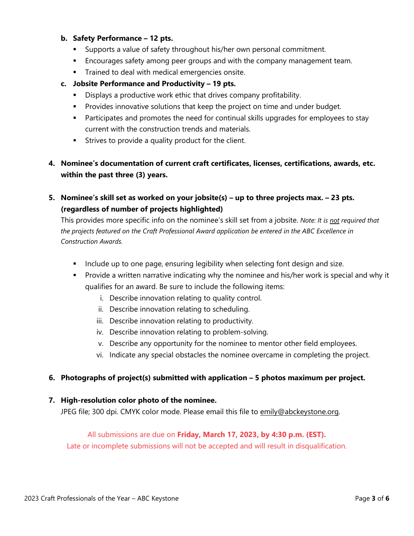#### **b. Safety Performance – 12 pts.**

- Supports a value of safety throughout his/her own personal commitment.
- **Encourages safety among peer groups and with the company management team.**
- **Trained to deal with medical emergencies onsite.**

#### **c. Jobsite Performance and Productivity – 19 pts.**

- **Displays a productive work ethic that drives company profitability.**
- Provides innovative solutions that keep the project on time and under budget.
- **Participates and promotes the need for continual skills upgrades for employees to stay** current with the construction trends and materials.
- **Strives to provide a quality product for the client.**

**4. Nominee's documentation of current craft certificates, licenses, certifications, awards, etc. within the past three (3) years.** 

**5. Nominee's skill set as worked on your jobsite(s) – up to three projects max. – 23 pts. (regardless of number of projects highlighted)**

This provides more specific info on the nominee's skill set from a jobsite. *Note: It is not required that the projects featured on the Craft Professional Award application be entered in the ABC Excellence in Construction Awards.*

- **Include up to one page, ensuring legibility when selecting font design and size.**
- **Provide a written narrative indicating why the nominee and his/her work is special and why it** qualifies for an award. Be sure to include the following items:
	- i. Describe innovation relating to quality control.
	- ii. Describe innovation relating to scheduling.
	- iii. Describe innovation relating to productivity.
	- iv. Describe innovation relating to problem-solving.
	- v. Describe any opportunity for the nominee to mentor other field employees.
	- vi. Indicate any special obstacles the nominee overcame in completing the project.

#### **6. Photographs of project(s) submitted with application – 5 photos maximum per project.**

#### **7. High-resolution color photo of the nominee.**

JPEG file; 300 dpi. CMYK color mode. Please email this file to emily@abckeystone.org.

#### All submissions are due on **Friday, March 17, 2023, by 4:30 p.m. (EST).**

Late or incomplete submissions will not be accepted and will result in disqualification.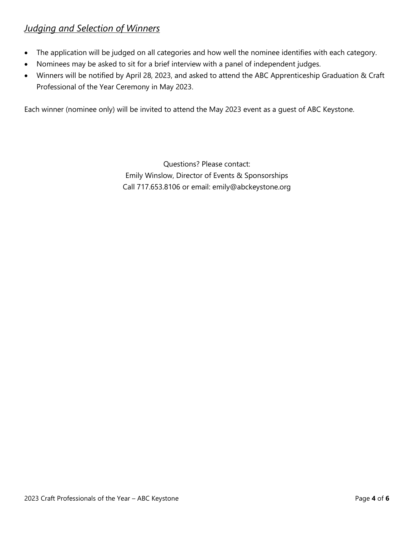# *Judging and Selection of Winners*

- The application will be judged on all categories and how well the nominee identifies with each category.
- Nominees may be asked to sit for a brief interview with a panel of independent judges.
- Winners will be notified by April 28, 2023, and asked to attend the ABC Apprenticeship Graduation & Craft Professional of the Year Ceremony in May 2023.

Each winner (nominee only) will be invited to attend the May 2023 event as a guest of ABC Keystone.

Questions? Please contact: Emily Winslow, Director of Events & Sponsorships Call 717.653.8106 or email: emily@abckeystone.org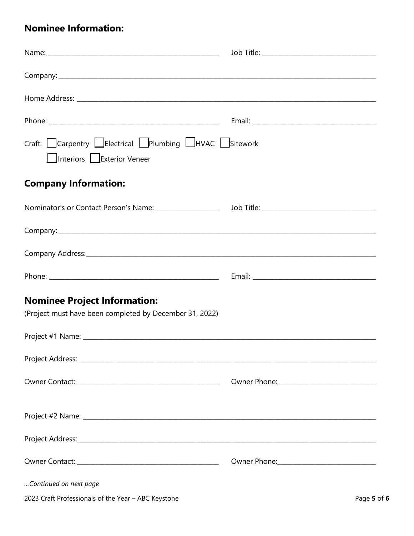# **Nominee Information:**

| Craft: Carpentry Lelectrical Plumbing LHVAC Sitework<br>Interiors Exterior Veneer                    |  |
|------------------------------------------------------------------------------------------------------|--|
| <b>Company Information:</b>                                                                          |  |
| Nominator's or Contact Person's Name: ______________________ Job Title: ____________________________ |  |
|                                                                                                      |  |
|                                                                                                      |  |
|                                                                                                      |  |
| <b>Nominee Project Information:</b><br>(Project must have been completed by December 31, 2022)       |  |
|                                                                                                      |  |
|                                                                                                      |  |
|                                                                                                      |  |
|                                                                                                      |  |
|                                                                                                      |  |
|                                                                                                      |  |
| Continued on next page                                                                               |  |